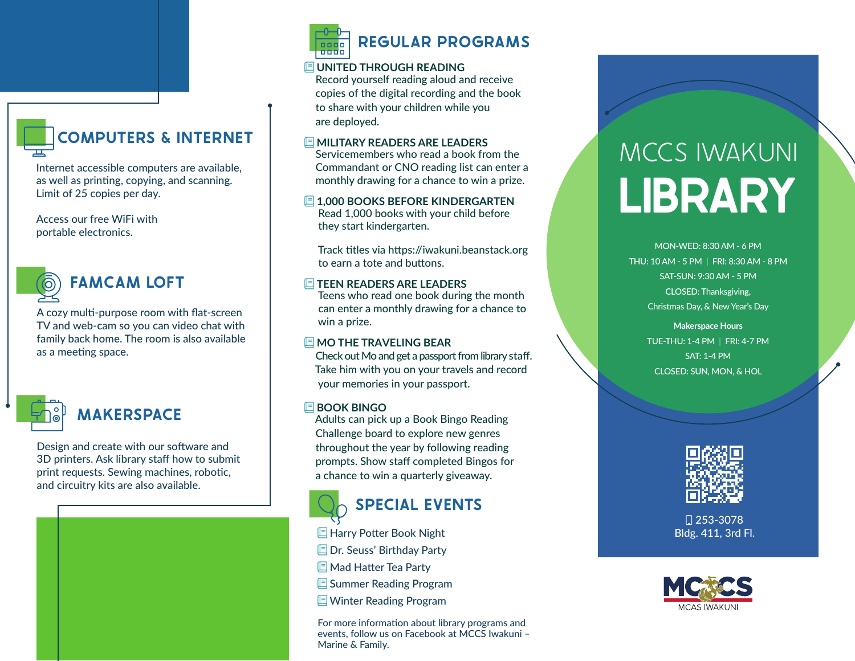# **COMPUTERS & INTERNET**

Internet accessible computers are available, as well as printing, copying, and scanning. Limit of 25 copies per day.

Access our free WiFi with portable electronics.



### **FAMCAM LOFT**

A cozy multi-purpose room with flat-screen TV and web-cam so you can video chat with family back home. The room is also available as a meeting space.



## **MAKERSPACE**

Design and create with our software and 3D printers. Ask library staff how to submit print requests. Sewing machines, robotic, and circuitry kits are also available.



#### **UNITED THROUGH READING**

 Record yourself reading aloud and receive copies of the digital recording and the book to share with your children while you are deployed.

#### **MILITARY READERS ARE LEADERS**

 Servicemembers who read a book from the Commandant or CNO reading list can enter a monthly drawing for a chance to win a prize.

**1,000 BOOKS BEFORE KINDERGARTEN**  Read 1,000 books with your child before they start kindergarten.

 Track titles via https://iwakuni.beanstack.org to earn a tote and buttons.

#### **E TEEN READERS ARE LEADERS**

 Teens who read one book during the month can enter a monthly drawing for a chance to win a prize.

#### **MO THE TRAVELING BEAR**

 Check out Mo and get a passport from library staff. Take him with you on your travels and record your memories in your passport.

#### **BOOK BINGO**

 Adults can pick up a Book Bingo Reading Challenge board to explore new genres throughout the year by following reading prompts. Show staff completed Bingos for a chance to win a quarterly giveaway.



## **SPECIAL EVENTS**

**E** Harry Potter Book Night

- **E** Dr. Seuss' Birthday Party
- Mad Hatter Tea Party
- **E** Summer Reading Program
- **E** Winter Reading Program

For more information about library programs and events, follow us on Facebook at MCCS Iwakuni – Marine & Family.

# MCCS IWAKUNI **LIBRARY**

MON-WED: 8:30 AM - 6 PM THU: 10 AM - 5 PM | FRI: 8:30 AM - 8 PM SAT-SUN: 9:30 AM - 5 PM CLOSED: Thanksgiving, Christmas Day, & New Year's Day

> **Makerspace Hours**  TUE-THU: 1-4 PM | FRI: 4-7 PM SAT: 1-4 PM CLOSED: SUN, MON, & HOL



 253-3078 Bldg. 411, 3rd Fl.